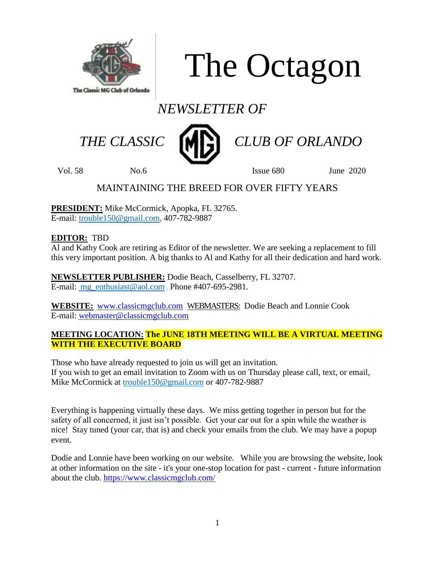

The Octagon

# *NEWSLETTER OF*



THE CLASSIC **MP** CLUB OF ORLANDO

Vol. 58 No.6 Issue 680 June 2020

### MAINTAINING THE BREED FOR OVER FIFTY YEARS

**PRESIDENT:** Mike McCormick, Apopka, FL 32765. E-mail: [trouble150@gmail.com,](mailto:trouble150@gmail.com) 407-782-9887

### **EDITOR:** TBD

Al and Kathy Cook are retiring as Editor of the newsletter. We are seeking a replacement to fill this very important position. A big thanks to Al and Kathy for all their dedication and hard work.

**NEWSLETTER PUBLISHER:** Dodie Beach, Casselberry, FL 32707. E-mail: mg enthusiast@aol.com , Phone #407-695-2981.

**WEBSITE:** [www.classicmgclub.com](http://www.classicmgclub.com/) WEBMASTERS: Dodie Beach and Lonnie Cook E-mail: [webmaster@classicmgclub.com](mailto:webmaster@classicmgclub.com)

#### **MEETING LOCATION: The JUNE 18TH MEETING WILL BE A VIRTUAL MEETING WITH THE EXECUTIVE BOARD**

Those who have already requested to join us will get an invitation. If you wish to get an email invitation to Zoom with us on Thursday please call, text, or email, Mike McCormick at [trouble150@gmail.com](mailto:trouble150@gmail.com) or 407-782-9887

Everything is happening virtually these days. We miss getting together in person but for the safety of all concerned, it just isn't possible. Get your car out for a spin while the weather is nice! Stay tuned (your car, that is) and check your emails from the club. We may have a popup event.

Dodie and Lonnie have been working on our website. While you are browsing the website, look at other information on the site - it's your one-stop location for past - current - future information about the club. <https://www.classicmgclub.com/>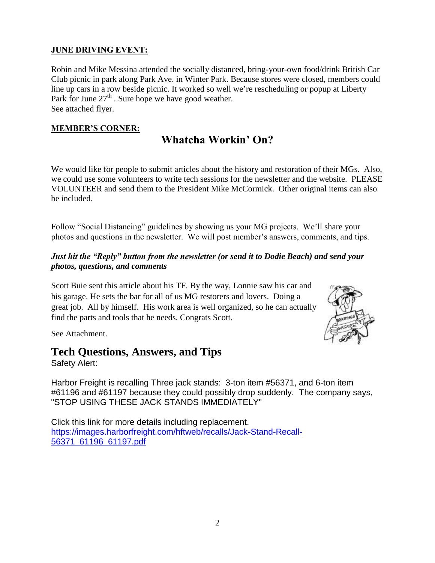### **JUNE DRIVING EVENT:**

Robin and Mike Messina attended the socially distanced, bring-your-own food/drink British Car Club picnic in park along Park Ave. in Winter Park. Because stores were closed, members could line up cars in a row beside picnic. It worked so well we're rescheduling or popup at Liberty Park for June  $27<sup>th</sup>$ . Sure hope we have good weather. See attached flyer.

#### **MEMBER'S CORNER:**

# **Whatcha Workin' On?**

We would like for people to submit articles about the history and restoration of their MGs. Also, we could use some volunteers to write tech sessions for the newsletter and the website. PLEASE VOLUNTEER and send them to the President Mike McCormick. Other original items can also be included.

Follow "Social Distancing" guidelines by showing us your MG projects. We'll share your photos and questions in the newsletter. We will post member's answers, comments, and tips.

#### *Just hit the "Reply" button from the newsletter (or send it to Dodie Beach) and send your photos, questions, and comments*

Scott Buie sent this article about his TF. By the way, Lonnie saw his car and his garage. He sets the bar for all of us MG restorers and lovers. Doing a great job. All by himself. His work area is well organized, so he can actually find the parts and tools that he needs. Congrats Scott.



See Attachment.

## **Tech Questions, Answers, and Tips**

Safety Alert:

Harbor Freight is recalling Three jack stands: 3-ton item #56371, and 6-ton item #61196 and #61197 because they could possibly drop suddenly. The company says, "STOP USING THESE JACK STANDS IMMEDIATELY"

Click this link for more details including replacement. [https://images.harborfreight.com/hftweb/recalls/Jack-Stand-Recall-](https://images.harborfreight.com/hftweb/recalls/Jack-Stand-Recall-56371_61196_61197.pdf)[56371\\_61196\\_61197.pdf](https://images.harborfreight.com/hftweb/recalls/Jack-Stand-Recall-56371_61196_61197.pdf)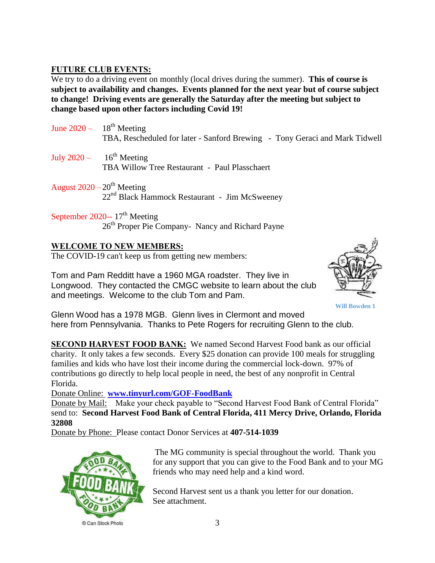#### **FUTURE CLUB EVENTS:**

We try to do a driving event on monthly (local drives during the summer). **This of course is subject to availability and changes. Events planned for the next year but of course subject to change! Driving events are generally the Saturday after the meeting but subject to change based upon other factors including Covid 19!**

- June  $2020 18^{th}$  Meeting TBA, Rescheduled for later - Sanford Brewing - Tony Geraci and Mark Tidwell July  $2020 - 16^{th}$  Meeting TBA Willow Tree Restaurant - Paul Plasschaert
- August  $2020 20$ <sup>th</sup> Meeting 22nd Black Hammock Restaurant - Jim McSweeney
- September 2020--  $17<sup>th</sup>$  Meeting 26<sup>th</sup> Proper Pie Company- Nancy and Richard Payne

#### **WELCOME TO NEW MEMBERS:**

The COVID-19 can't keep us from getting new members:

Tom and Pam Redditt have a 1960 MGA roadster. They live in Longwood. They contacted the CMGC website to learn about the club and meetings. Welcome to the club Tom and Pam.



**Will Bowden 1**

Glenn Wood has a 1978 MGB. Glenn lives in Clermont and moved here from Pennsylvania. Thanks to Pete Rogers for recruiting Glenn to the club.

**SECOND HARVEST FOOD BANK:** We named Second Harvest Food bank as our official charity. It only takes a few seconds. Every \$25 donation can provide 100 meals for struggling families and kids who have lost their income during the commercial lock-down. 97% of contributions go directly to help local people in need, the best of any nonprofit in Central Florida.

Donate Online: **[www.tinyurl.com/GOF-FoodBank](http://www.tinyurl.com/GOF-FoodBank)**

Donate by Mail: Make your check payable to "Second Harvest Food Bank of Central Florida" send to: **Second Harvest Food Bank of Central Florida, 411 Mercy Drive, Orlando, Florida 32808**

Donate by Phone: Please contact Donor Services at **407-514-1039**



The MG community is special throughout the world. Thank you for any support that you can give to the Food Bank and to your MG friends who may need help and a kind word.

Second Harvest sent us a thank you letter for our donation. See attachment.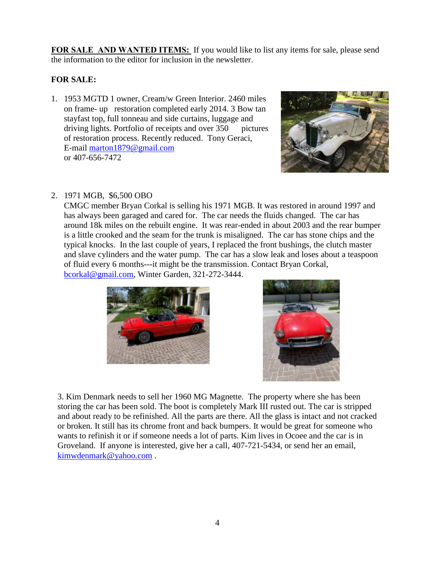**FOR SALE AND WANTED ITEMS:** If you would like to list any items for sale, please send the information to the editor for inclusion in the newsletter.

#### **FOR SALE:**

1. 1953 MGTD 1 owner, Cream/w Green Interior. 2460 miles on frame- up restoration completed early 2014. 3 Bow tan stayfast top, full tonneau and side curtains, luggage and driving lights. Portfolio of receipts and over 350 pictures of restoration process. Recently reduced. Tony Geraci, E-mail [marton1879@gmail.com](mailto:marton1879@gmail.com) or 407-656-7472



#### 2. 1971 MGB, \$6,500 OBO

CMGC member Bryan Corkal is selling his 1971 MGB. It was restored in around 1997 and has always been garaged and cared for. The car needs the fluids changed. The car has around 18k miles on the rebuilt engine. It was rear-ended in about 2003 and the rear bumper is a little crooked and the seam for the trunk is misaligned. The car has stone chips and the typical knocks. In the last couple of years, I replaced the front bushings, the clutch master and slave cylinders and the water pump. The car has a slow leak and loses about a teaspoon of fluid every 6 months---it might be the transmission. Contact Bryan Corkal, [bcorkal@gmail.com,](mailto:bcorkal@gmail.com) Winter Garden, 321-272-3444.





3. Kim Denmark needs to sell her 1960 MG Magnette. The property where she has been storing the car has been sold. The boot is completely Mark III rusted out. The car is stripped and about ready to be refinished. All the parts are there. All the glass is intact and not cracked or broken. It still has its chrome front and back bumpers. It would be great for someone who wants to refinish it or if someone needs a lot of parts. Kim lives in Ocoee and the car is in Groveland. If anyone is interested, give her a call, 407-721-5434, or send her an email, [kimwdenmark@yahoo.com](mailto:kimwdenmark@yahoo.com) .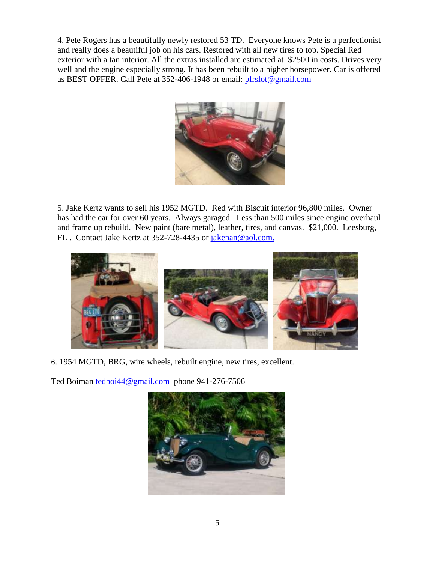4. Pete Rogers has a beautifully newly restored 53 TD. Everyone knows Pete is a perfectionist and really does a beautiful job on his cars. Restored with all new tires to top. Special Red exterior with a tan interior. All the extras installed are estimated at \$2500 in costs. Drives very well and the engine especially strong. It has been rebuilt to a higher horsepower. Car is offered as BEST OFFER. Call Pete at 352-406-1948 or email: [pfrslot@gmail.com](mailto:pfrslot@gmail.com)



5. Jake Kertz wants to sell his 1952 MGTD. Red with Biscuit interior 96,800 miles. Owner has had the car for over 60 years. Always garaged. Less than 500 miles since engine overhaul and frame up rebuild. New paint (bare metal), leather, tires, and canvas. \$21,000. Leesburg, FL . Contact Jake Kertz at 352-728-4435 or jakenan@aol.com.



6. 1954 MGTD, BRG, wire wheels, rebuilt engine, new tires, excellent.

Ted Boiman [tedboi44@gmail.com](mailto:tedboi44@gmail.com) phone 941-276-7506